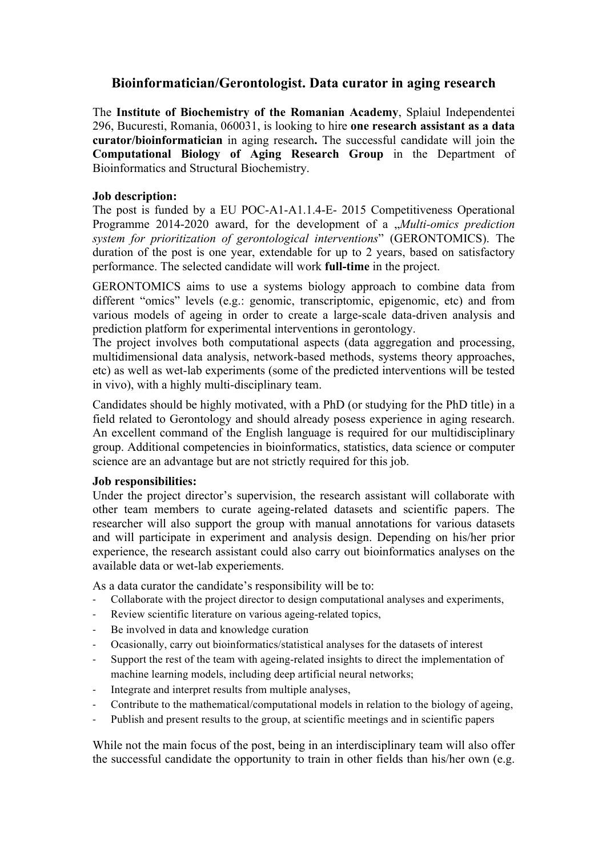# **Bioinformatician/Gerontologist. Data curator in aging research**

The **Institute of Biochemistry of the Romanian Academy**, Splaiul Independentei 296, Bucuresti, Romania, 060031, is looking to hire **one research assistant as a data curator/bioinformatician** in aging research**.** The successful candidate will join the **Computational Biology of Aging Research Group** in the Department of Bioinformatics and Structural Biochemistry.

## **Job description:**

The post is funded by a EU POC-A1-A1.1.4-E- 2015 Competitiveness Operational Programme 2014-2020 award, for the development of a *"Multi-omics prediction system for prioritization of gerontological interventions*" (GERONTOMICS). The duration of the post is one year, extendable for up to 2 years, based on satisfactory performance. The selected candidate will work **full-time** in the project.

GERONTOMICS aims to use a systems biology approach to combine data from different "omics" levels (e.g.: genomic, transcriptomic, epigenomic, etc) and from various models of ageing in order to create a large-scale data-driven analysis and prediction platform for experimental interventions in gerontology.

The project involves both computational aspects (data aggregation and processing, multidimensional data analysis, network-based methods, systems theory approaches, etc) as well as wet-lab experiments (some of the predicted interventions will be tested in vivo), with a highly multi-disciplinary team.

Candidates should be highly motivated, with a PhD (or studying for the PhD title) in a field related to Gerontology and should already posess experience in aging research. An excellent command of the English language is required for our multidisciplinary group. Additional competencies in bioinformatics, statistics, data science or computer science are an advantage but are not strictly required for this job.

#### **Job responsibilities:**

Under the project director's supervision, the research assistant will collaborate with other team members to curate ageing-related datasets and scientific papers. The researcher will also support the group with manual annotations for various datasets and will participate in experiment and analysis design. Depending on his/her prior experience, the research assistant could also carry out bioinformatics analyses on the available data or wet-lab experiements.

As a data curator the candidate's responsibility will be to:

- Collaborate with the project director to design computational analyses and experiments,
- Review scientific literature on various ageing-related topics,
- Be involved in data and knowledge curation
- Ocasionally, carry out bioinformatics/statistical analyses for the datasets of interest
- Support the rest of the team with ageing-related insights to direct the implementation of machine learning models, including deep artificial neural networks;
- Integrate and interpret results from multiple analyses,
- Contribute to the mathematical/computational models in relation to the biology of ageing,
- Publish and present results to the group, at scientific meetings and in scientific papers

While not the main focus of the post, being in an interdisciplinary team will also offer the successful candidate the opportunity to train in other fields than his/her own (e.g.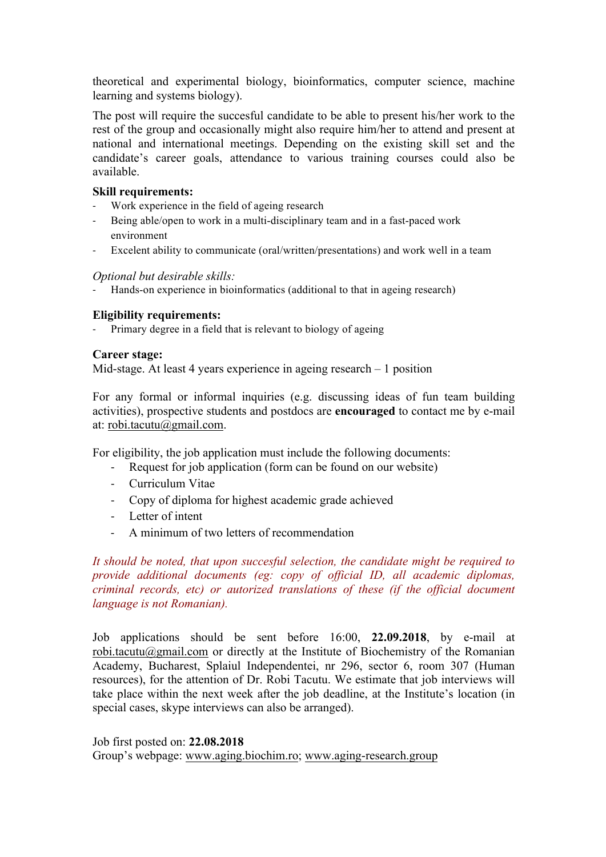theoretical and experimental biology, bioinformatics, computer science, machine learning and systems biology).

The post will require the succesful candidate to be able to present his/her work to the rest of the group and occasionally might also require him/her to attend and present at national and international meetings. Depending on the existing skill set and the candidate's career goals, attendance to various training courses could also be available.

### **Skill requirements:**

- Work experience in the field of ageing research
- Being able/open to work in a multi-disciplinary team and in a fast-paced work environment
- Excelent ability to communicate (oral/written/presentations) and work well in a team

#### *Optional but desirable skills:*

Hands-on experience in bioinformatics (additional to that in ageing research)

## **Eligibility requirements:**

- Primary degree in a field that is relevant to biology of ageing

#### **Career stage:**

Mid-stage. At least 4 years experience in ageing research – 1 position

For any formal or informal inquiries (e.g. discussing ideas of fun team building activities), prospective students and postdocs are **encouraged** to contact me by e-mail at: robi.tacutu@gmail.com.

For eligibility, the job application must include the following documents:

- Request for job application (form can be found on our website)
- Curriculum Vitae
- Copy of diploma for highest academic grade achieved
- Letter of intent
- A minimum of two letters of recommendation

*It should be noted, that upon succesful selection, the candidate might be required to provide additional documents (eg: copy of official ID, all academic diplomas, criminal records, etc) or autorized translations of these (if the official document language is not Romanian).* 

Job applications should be sent before 16:00, **22.09.2018**, by e-mail at robi.tacutu@gmail.com or directly at the Institute of Biochemistry of the Romanian Academy, Bucharest, Splaiul Independentei, nr 296, sector 6, room 307 (Human resources), for the attention of Dr. Robi Tacutu. We estimate that job interviews will take place within the next week after the job deadline, at the Institute's location (in special cases, skype interviews can also be arranged).

Job first posted on: **22.08.2018**

Group's webpage: www.aging.biochim.ro; www.aging-research.group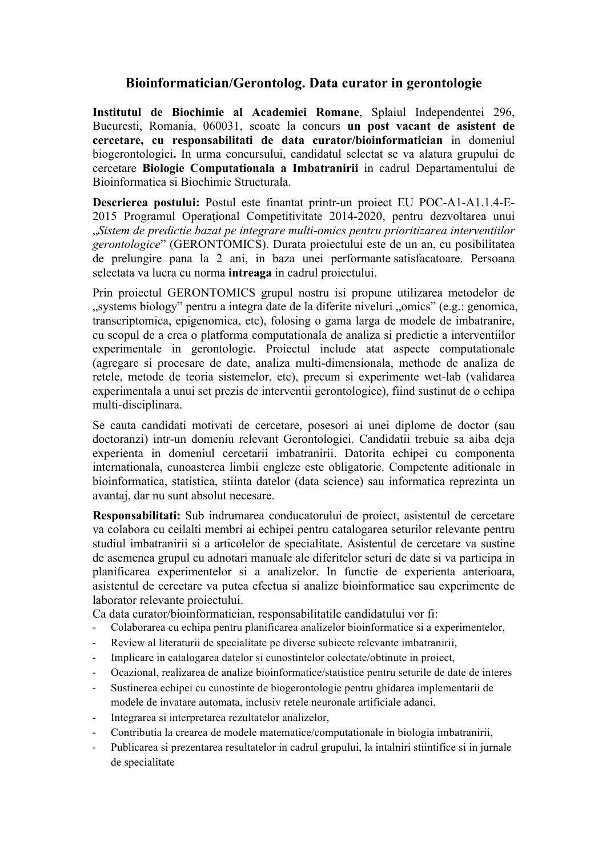# **Bioinformatician/Gerontolog. Data curator in gerontologie**

**Institutul de Biochimie al Academiei Romane**, Splaiul Independentei 296, Bucuresti, Romania, 060031, scoate la concurs **un post vacant de asistent de cercetare, cu responsabilitati de data curator/bioinformatician** in domeniul biogerontologiei**.** In urma concursului, candidatul selectat se va alatura grupului de cercetare **Biologie Computationala a Imbatranirii** in cadrul Departamentului de Bioinformatica si Biochimie Structurala.

**Descrierea postului:** Postul este finantat printr-un proiect EU POC-A1-A1.1.4-E-2015 Programul Operaţional Competitivitate 2014-2020, pentru dezvoltarea unui "*Sistem de predictie bazat pe integrare multi-omics pentru prioritizarea interventiilor gerontologice*" (GERONTOMICS). Durata proiectului este de un an, cu posibilitatea de prelungire pana la 2 ani, in baza unei performante satisfacatoare. Persoana selectata va lucra cu norma **intreaga** in cadrul proiectului.

Prin proiectul GERONTOMICS grupul nostru isi propune utilizarea metodelor de "systems biology" pentru a integra date de la diferite niveluri "omics" (e.g.: genomica, transcriptomica, epigenomica, etc), folosing o gama larga de modele de imbatranire, cu scopul de a crea o platforma computationala de analiza si predictie a interventiilor experimentale in gerontologie. Proiectul include atat aspecte computationale (agregare si procesare de date, analiza multi-dimensionala, methode de analiza de retele, metode de teoria sistemelor, etc), precum si experimente wet-lab (validarea experimentala a unui set prezis de interventii gerontologice), fiind sustinut de o echipa multi-disciplinara.

Se cauta candidati motivati de cercetare, posesori ai unei diplome de doctor (sau doctoranzi) intr-un domeniu relevant Gerontologiei. Candidatii trebuie sa aiba deja experienta in domeniul cercetarii imbatranirii. Datorita echipei cu componenta internationala, cunoasterea limbii engleze este obligatorie. Competente aditionale in bioinformatica, statistica, stiinta datelor (data science) sau informatica reprezinta un avantaj, dar nu sunt absolut necesare.

**Responsabilitati:** Sub indrumarea conducatorului de proiect, asistentul de cercetare va colabora cu ceilalti membri ai echipei pentru catalogarea seturilor relevante pentru studiul imbatranirii si a articolelor de specialitate. Asistentul de cercetare va sustine de asemenea grupul cu adnotari manuale ale diferitelor seturi de date si va participa in planificarea experimentelor si a analizelor. In functie de experienta anterioara, asistentul de cercetare va putea efectua si analize bioinformatice sau experimente de laborator relevante proiectului.

Ca data curator/bioinformatician, responsabilitatile candidatului vor fi:

- Colaborarea cu echipa pentru planificarea analizelor bioinformatice si a experimentelor,
- Review al literaturii de specialitate pe diverse subiecte relevante imbatranirii,
- Implicare in catalogarea datelor si cunostintelor colectate/obtinute in proiect,
- Ocazional, realizarea de analize bioinformatice/statistice pentru seturile de date de interes
- Sustinerea echipei cu cunostinte de biogerontologie pentru ghidarea implementarii de modele de invatare automata, inclusiv retele neuronale artificiale adanci,
- Integrarea si interpretarea rezultatelor analizelor,
- Contributia la crearea de modele matematice/computationale in biologia imbatranirii,
- Publicarea si prezentarea resultatelor in cadrul grupului, la intalniri stiintifice si in jurnale de specialitate